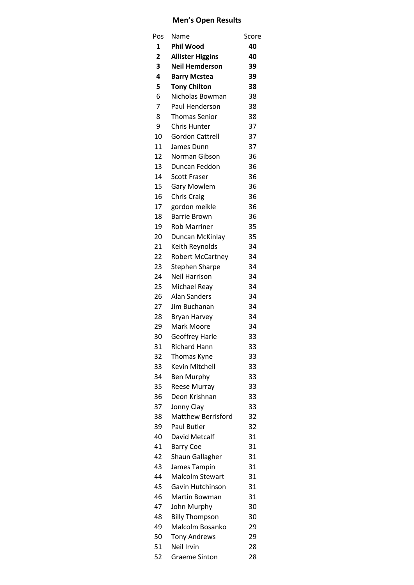## **Men's Open Results**

| Pos            | Name                      | Score |
|----------------|---------------------------|-------|
| 1              | <b>Phil Wood</b>          | 40    |
| $\overline{2}$ | <b>Allister Higgins</b>   | 40    |
| 3              | <b>Neil Hemderson</b>     | 39    |
| 4              | <b>Barry Mcstea</b>       | 39    |
| 5              | <b>Tony Chilton</b>       | 38    |
| 6              | Nicholas Bowman           | 38    |
| $\overline{7}$ | <b>Paul Henderson</b>     | 38    |
| 8              | <b>Thomas Senior</b>      | 38    |
| 9              | <b>Chris Hunter</b>       | 37    |
| 10             | <b>Gordon Cattrell</b>    | 37    |
| 11             | James Dunn                | 37    |
| 12             | Norman Gibson             | 36    |
| 13             | Duncan Feddon             | 36    |
| 14             | <b>Scott Fraser</b>       | 36    |
| 15             | <b>Gary Mowlem</b>        | 36    |
| 16             | Chris Craig               | 36    |
| 17             | gordon meikle             | 36    |
| 18             | <b>Barrie Brown</b>       | 36    |
| 19             | <b>Rob Marriner</b>       | 35    |
| 20             | Duncan McKinlay           | 35    |
| 21             | Keith Reynolds            | 34    |
| 22             | <b>Robert McCartney</b>   | 34    |
| 23             | <b>Stephen Sharpe</b>     | 34    |
| 24             | <b>Neil Harrison</b>      | 34    |
| 25             | Michael Reay              | 34    |
| 26             | Alan Sanders              | 34    |
| 27             | Jim Buchanan              | 34    |
| 28             | <b>Bryan Harvey</b>       | 34    |
| 29             | Mark Moore                | 34    |
| 30             | <b>Geoffrey Harle</b>     | 33    |
| 31             | <b>Richard Hann</b>       | 33    |
| 32             | Thomas Kyne               | 33    |
| 33             | Kevin Mitchell            | 33    |
| 34             | <b>Ben Murphy</b>         | 33    |
| 35             | Reese Murray              | 33    |
| 36             | Deon Krishnan             | 33    |
| 37             | Jonny Clay                | 33    |
| 38             | <b>Matthew Berrisford</b> | 32    |
| 39             | Paul Butler               | 32    |
| 40             | David Metcalf             | 31    |
| 41             | <b>Barry Coe</b>          | 31    |
| 42             | Shaun Gallagher           | 31    |
| 43             | James Tampin              | 31    |
| 44             | <b>Malcolm Stewart</b>    | 31    |
| 45             | Gavin Hutchinson          | 31    |
| 46             | Martin Bowman             | 31    |
| 47             | John Murphy               | 30    |
| 48             | <b>Billy Thompson</b>     | 30    |
| 49             | Malcolm Bosanko           | 29    |
| 50             | <b>Tony Andrews</b>       | 29    |
| 51             | Neil Irvin                | 28    |
| 52             | <b>Graeme Sinton</b>      | 28    |
|                |                           |       |